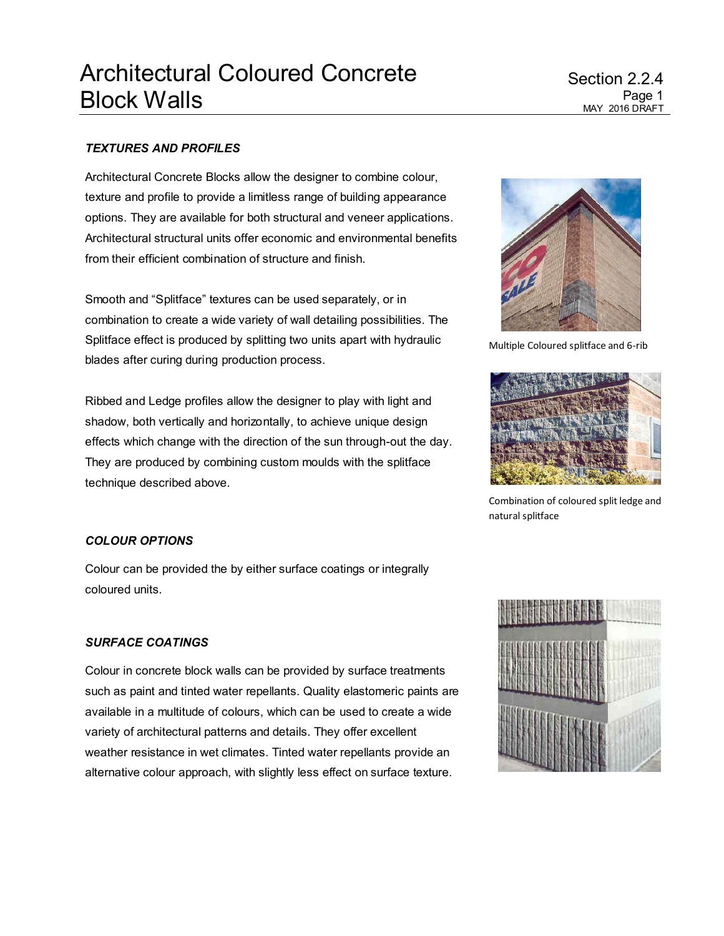## *TEXTURES AND PROFILES*

Architectural Concrete Blocks allow the designer to combine colour, texture and profile to provide a limitless range of building appearance options. They are available for both structural and veneer applications. Architectural structural units offer economic and environmental benefits from their efficient combination of structure and finish.

Smooth and "Splitface" textures can be used separately, or in combination to create a wide variety of wall detailing possibilities. The Splitface effect is produced by splitting two units apart with hydraulic blades after curing during production process.

Ribbed and Ledge profiles allow the designer to play with light and shadow, both vertically and horizontally, to achieve unique design effects which change with the direction of the sun through-out the day. They are produced by combining custom moulds with the splitface technique described above.



Multiple Coloured splitface and 6-rib



Combination of coloured split ledge and natural splitface

### *COLOUR OPTIONS*

Colour can be provided the by either surface coatings or integrally coloured units.

#### *SURFACE COATINGS*

Colour in concrete block walls can be provided by surface treatments such as paint and tinted water repellants. Quality elastomeric paints are available in a multitude of colours, which can be used to create a wide variety of architectural patterns and details. They offer excellent weather resistance in wet climates. Tinted water repellants provide an alternative colour approach, with slightly less effect on surface texture.

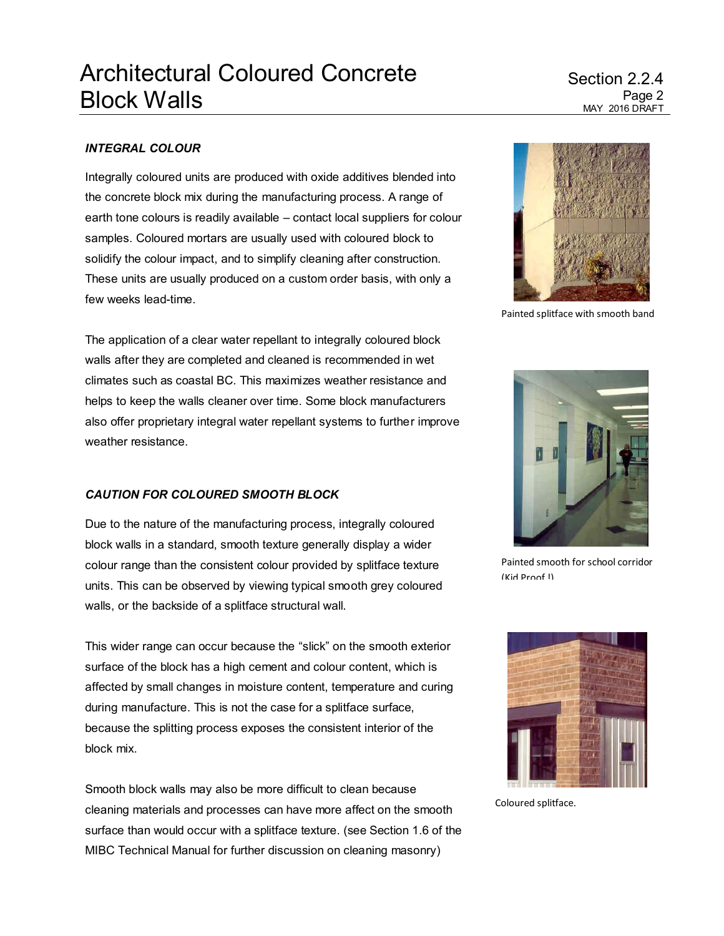# Architectural Coloured Concrete Block Walls

## Section 2.2.4 Page 2 MAY 2016 DRAFT

## *INTEGRAL COLOUR*

Integrally coloured units are produced with oxide additives blended into the concrete block mix during the manufacturing process. A range of earth tone colours is readily available – contact local suppliers for colour samples. Coloured mortars are usually used with coloured block to solidify the colour impact, and to simplify cleaning after construction. These units are usually produced on a custom order basis, with only a few weeks lead-time.

The application of a clear water repellant to integrally coloured block walls after they are completed and cleaned is recommended in wet climates such as coastal BC. This maximizes weather resistance and helps to keep the walls cleaner over time. Some block manufacturers also offer proprietary integral water repellant systems to further improve weather resistance.

### *CAUTION FOR COLOURED SMOOTH BLOCK*

Due to the nature of the manufacturing process, integrally coloured block walls in a standard, smooth texture generally display a wider colour range than the consistent colour provided by splitface texture units. This can be observed by viewing typical smooth grey coloured walls, or the backside of a splitface structural wall.

This wider range can occur because the "slick" on the smooth exterior surface of the block has a high cement and colour content, which is affected by small changes in moisture content, temperature and curing during manufacture. This is not the case for a splitface surface, because the splitting process exposes the consistent interior of the block mix.

Smooth block walls may also be more difficult to clean because cleaning materials and processes can have more affect on the smooth surface than would occur with a splitface texture. (see Section 1.6 of the MIBC Technical Manual for further discussion on cleaning masonry)



Painted splitface with smooth band



Painted smooth for school corridor (Kid Proof !)



Coloured splitface.